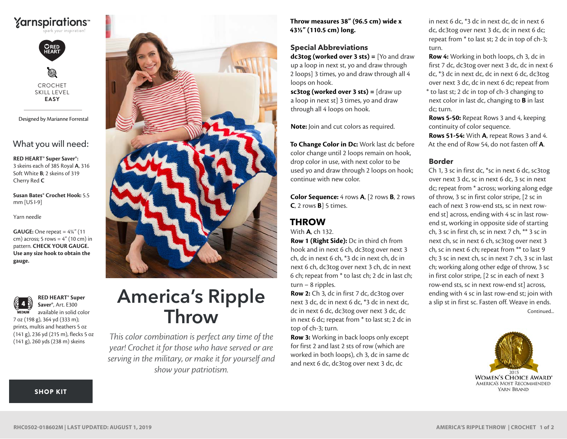



CROCHET SKILL LEVEL **EASY**

Designed by Marianne Forrestal

## What you will need:

**RED HEART® Super Saver®:** 3 skeins each of 385 Royal **A**, 316 Soft White **B**; 2 skeins of 319 Cherry Red **C**

**Susan Bates® Crochet Hook:** 5.5 mm [US I-9]

Yarn needle

**GAUGE:** One repeat = 4¼" (11 cm) across; 5 rows =  $4''$  (10 cm) in pattern. **CHECK YOUR GAUGE. Use any size hook to obtain the gauge.**



**RED HEART® Super Saver®**, Art. E300 available in solid color 7 oz (198 g), 364 yd (333 m);

prints, multis and heathers 5 oz (141 g), 236 yd (215 m), flecks 5 oz (141 g), 260 yds (238 m) skeins

[SHOP KIT](https://www.yarnspirations.com/red-heart-americas-ripple-throw/RHC0502-018602M.html#utm_source=pdf-yarnspirations&utm_medium=referral&utm_campaign=pdf-RHC0502-018602M)



# America's Ripple Throw

*This color combination is perfect any time of the year! Crochet it for those who have served or are serving in the military, or make it for yourself and show your patriotism.*

**Throw measures 38" (96.5 cm) wide x 43½" (110.5 cm) long.**

#### **Special Abbreviations**

**dc3tog (worked over 3 sts) =** [Yo and draw up a loop in next st, yo and draw through 2 loops] 3 times, yo and draw through all 4 loops on hook.

**sc3tog (worked over 3 sts) =** [draw up a loop in next st] 3 times, yo and draw through all 4 loops on hook.

**Note:** Join and cut colors as required.

**To Change Color in Dc:** Work last dc before color change until 2 loops remain on hook, drop color in use, with next color to be used yo and draw through 2 loops on hook; continue with new color.

**Color Sequence:** 4 rows **A**, [2 rows **B**, 2 rows **C**, 2 rows **B**] 5 times.

## **THROW**

With **A**, ch 132.

**Row 1 (Right Side):** Dc in third ch from hook and in next 6 ch, dc3tog over next 3 ch, dc in next 6 ch, \*3 dc in next ch, dc in next 6 ch, dc3tog over next 3 ch, dc in next 6 ch; repeat from \* to last ch; 2 dc in last ch; turn – 8 ripples.

**Row 2:** Ch 3, dc in first 7 dc, dc3tog over next 3 dc, dc in next 6 dc, \*3 dc in next dc, dc in next 6 dc, dc3tog over next 3 dc, dc in next 6 dc; repeat from \* to last st; 2 dc in top of ch-3; turn.

**Row 3:** Working in back loops only except for first 2 and last 2 sts of row (which are worked in both loops), ch 3, dc in same dc and next 6 dc, dc3tog over next 3 dc, dc

in next 6 dc, \*3 dc in next dc, dc in next 6 dc, dc3tog over next 3 dc, dc in next 6 dc; repeat from \* to last st; 2 dc in top of ch-3; turn.

**Row 4:** Working in both loops, ch 3, dc in first 7 dc, dc3tog over next 3 dc, dc in next 6 dc, \*3 dc in next dc, dc in next 6 dc, dc3tog over next 3 dc, dc in next 6 dc; repeat from \* to last st; 2 dc in top of ch-3 changing to next color in last dc, changing to **B** in last dc; turn.

**Rows 5-50:** Repeat Rows 3 and 4, keeping continuity of color sequence. **Rows 51-54:** With **A**, repeat Rows 3 and 4.

At the end of Row 54, do not fasten off **A**.

## **Border**

Continued... Ch 1, 3 sc in first dc, \*sc in next 6 dc, sc3tog over next 3 dc, sc in next 6 dc, 3 sc in next dc; repeat from \* across; working along edge of throw, 3 sc in first color stripe, [2 sc in each of next 3 row-end sts, sc in next rowend st] across, ending with 4 sc in last rowend st, working in opposite side of starting ch, 3 sc in first ch, sc in next 7 ch, \*\* 3 sc in next ch, sc in next 6 ch, sc3tog over next 3 ch, sc in next 6 ch; repeat from \*\* to last 9 ch; 3 sc in next ch, sc in next 7 ch, 3 sc in last ch; working along other edge of throw, 3 sc in first color stripe, [2 sc in each of next 3 row-end sts, sc in next row-end st] across, ending with 4 sc in last row-end st; join with a slip st in first sc. Fasten off. Weave in ends.